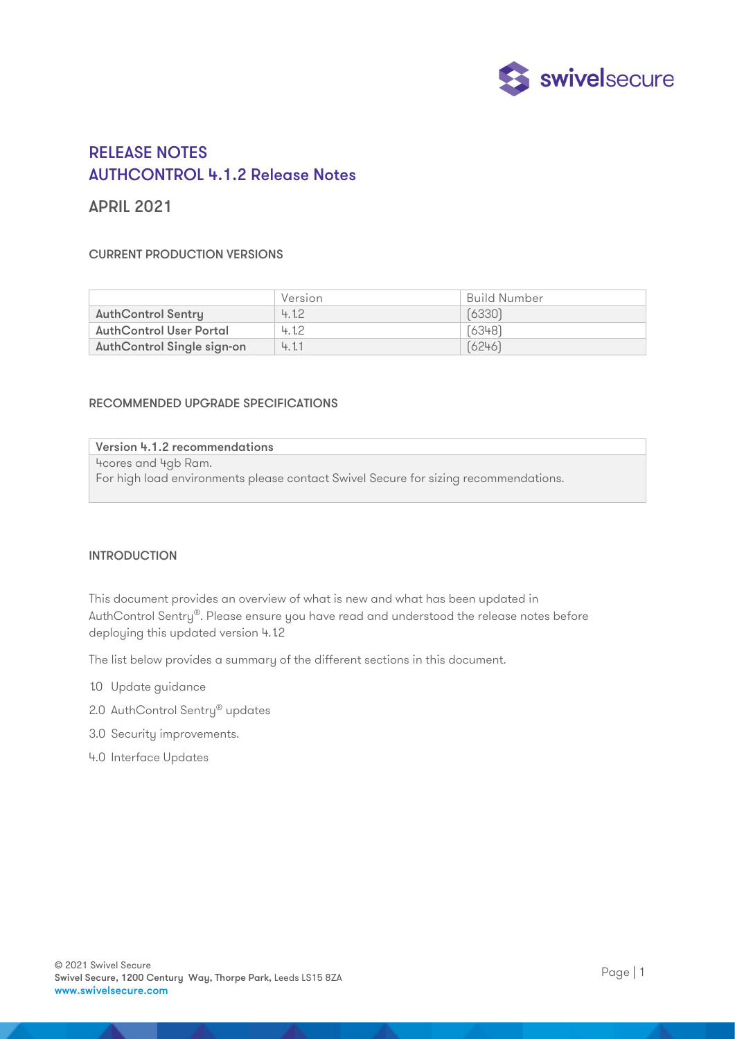

# RELEASE NOTES AUTHCONTROL 4.1.2 Release Notes

## APRIL 2021

### CURRENT PRODUCTION VERSIONS

|                                | Version | Build Number |
|--------------------------------|---------|--------------|
| <b>AuthControl Sentry</b>      | 4.12    | (6330)       |
| <b>AuthControl User Portal</b> | 4.12    | [6348]       |
| AuthControl Single sign-on     | 4.11    | (6246)       |

#### RECOMMENDED UPGRADE SPECIFICATIONS

#### Version 4.1.2 recommendations

4cores and 4gb Ram.

For high load environments please contact Swivel Secure for sizing recommendations.

#### INTRODUCTION

This document provides an overview of what is new and what has been updated in AuthControl Sentry®. Please ensure you have read and understood the release notes before deploying this updated version 4.1.2

The list below provides a summary of the different sections in this document.

- 1.0 Update guidance
- 2.0 AuthControl Sentry<sup>®</sup> updates
- 3.0 Security improvements.
- 4.0 Interface Updates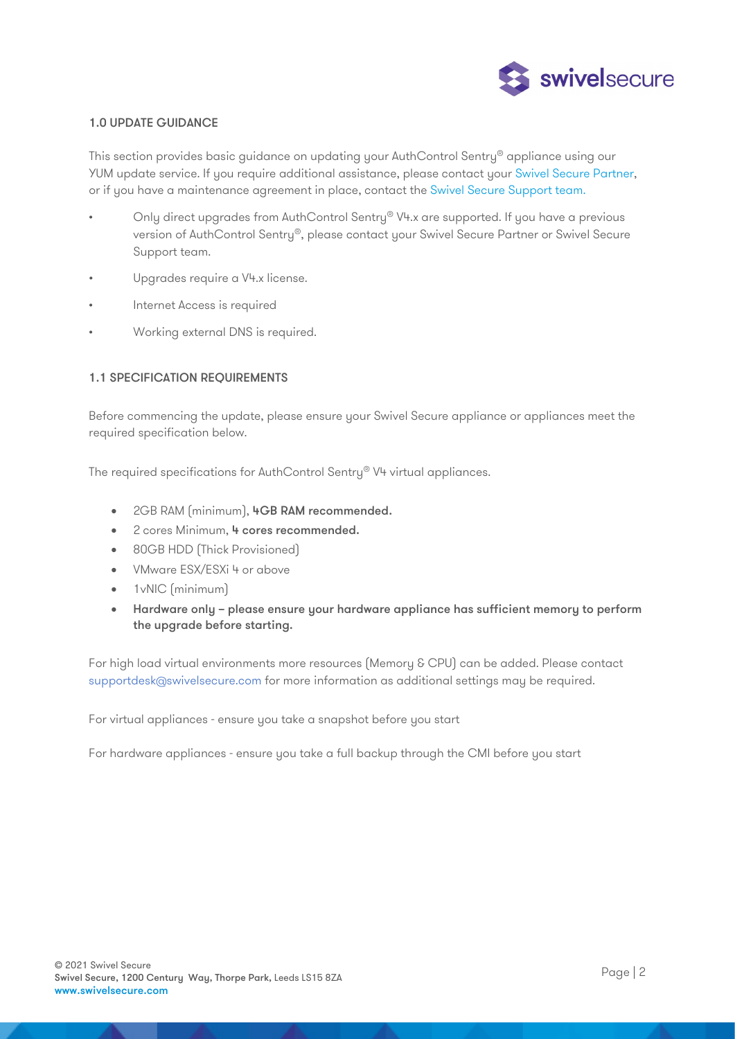

#### 1.0 UPDATE GUIDANCE

This section provides basic guidance on updating your AuthControl Sentry<sup>®</sup> appliance using our YUM update service. If you require additional assistance, please contact your Swivel Secure Partner, or if you have a maintenance agreement in place, contact the Swivel Secure Support team.

- Only direct upgrades from AuthControl Sentry® V4.x are supported. If you have a previous version of AuthControl Sentry®, please contact your Swivel Secure Partner or Swivel Secure Support team.
- Upgrades require a V4.x license.
- Internet Access is required
- Working external DNS is required.

#### 1.1 SPECIFICATION REQUIREMENTS

Before commencing the update, please ensure your Swivel Secure appliance or appliances meet the required specification below.

The required specifications for AuthControl Sentry® V4 virtual appliances.

- 2GB RAM (minimum), 4GB RAM recommended.
- 2 cores Minimum, 4 cores recommended.
- 80GB HDD (Thick Provisioned)
- VMware ESX/ESXi 4 or above
- 1 vNIC (minimum)
- Hardware only please ensure your hardware appliance has sufficient memory to perform the upgrade before starting.

For high load virtual environments more resources (Memory & CPU) can be added. Please contact supportdesk@swivelsecure.com for more information as additional settings may be required.

For virtual appliances - ensure you take a snapshot before you start

For hardware appliances - ensure you take a full backup through the CMI before you start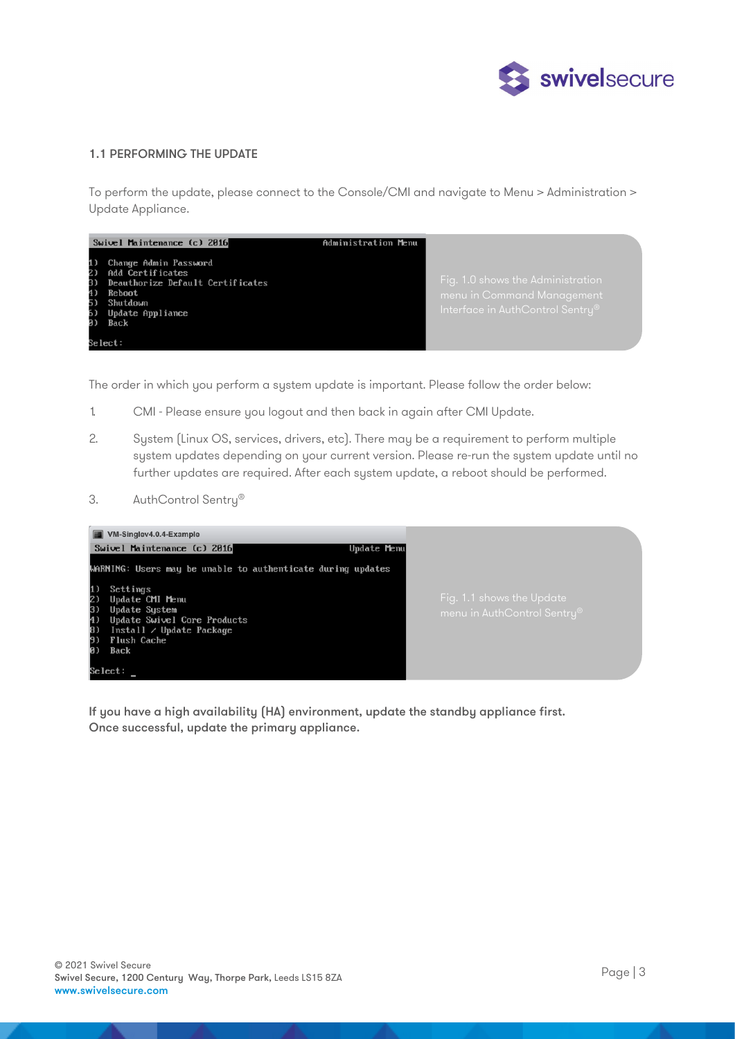

#### 1.1 PERFORMING THE UPDATE

To perform the update, please connect to the Console/CMI and navigate to Menu > Administration > Update Appliance.



The order in which you perform a system update is important. Please follow the order below:

- 1. CMI Please ensure you logout and then back in again after CMI Update.
- 2. System (Linux OS, services, drivers, etc). There may be a requirement to perform multiple system updates depending on your current version. Please re-run the system update until no further updates are required. After each system update, a reboot should be performed.
- 3. AuthControl Sentry®



If you have a high availability (HA) environment, update the standby appliance first. Once successful, update the primary appliance.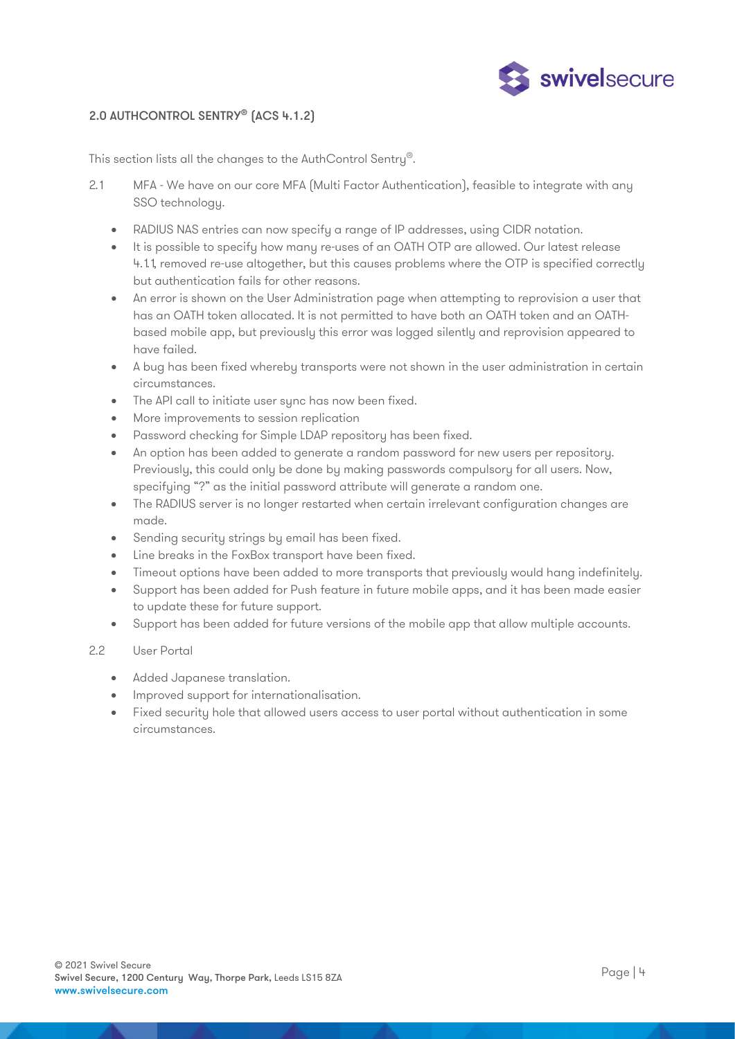

## 2.0 AUTHCONTROL SENTRY® (ACS 4.1.2)

This section lists all the changes to the AuthControl Sentry®.

- 2.1 MFA We have on our core MFA (Multi Factor Authentication), feasible to integrate with any SSO technology.
	- RADIUS NAS entries can now specify a range of IP addresses, using CIDR notation.
	- It is possible to specify how many re-uses of an OATH OTP are allowed. Our latest release 4.1.1, removed re-use altogether, but this causes problems where the OTP is specified correctly but authentication fails for other reasons.
	- An error is shown on the User Administration page when attempting to reprovision a user that has an OATH token allocated. It is not permitted to have both an OATH token and an OATHbased mobile app, but previously this error was logged silently and reprovision appeared to have failed.
	- A bug has been fixed whereby transports were not shown in the user administration in certain circumstances.
	- The API call to initiate user sync has now been fixed.
	- More improvements to session replication
	- Password checking for Simple LDAP repository has been fixed.
	- An option has been added to generate a random password for new users per repository. Previously, this could only be done by making passwords compulsory for all users. Now, specifying "?" as the initial password attribute will generate a random one.
	- The RADIUS server is no longer restarted when certain irrelevant configuration changes are made.
	- Sending security strings by email has been fixed.
	- Line breaks in the FoxBox transport have been fixed.
	- Timeout options have been added to more transports that previously would hang indefinitely.
	- Support has been added for Push feature in future mobile apps, and it has been made easier to update these for future support.
	- Support has been added for future versions of the mobile app that allow multiple accounts.

#### 2.2 User Portal

- Added Japanese translation.
- Improved support for internationalisation.
- Fixed security hole that allowed users access to user portal without authentication in some circumstances.